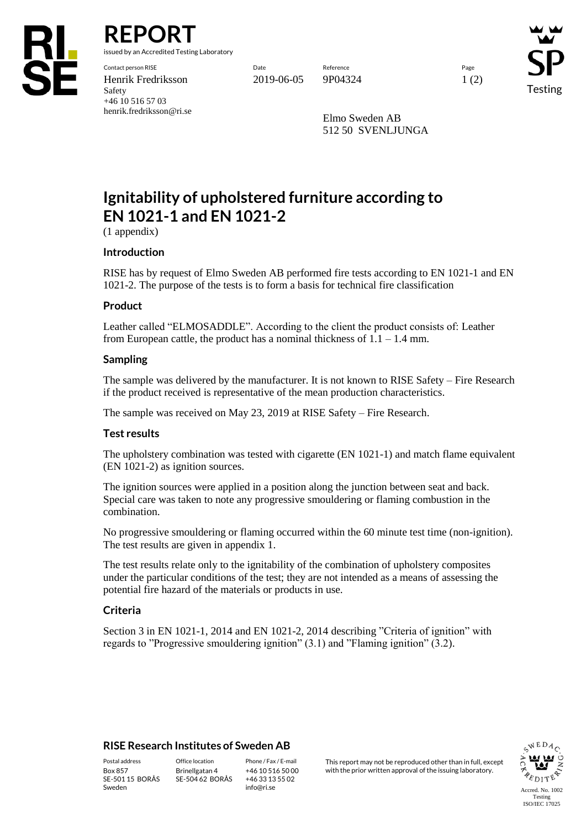

**REPORT**

issued by an Accredited Testing Laboratory

Contact person RISE Date Reference Page Henrik Fredriksson 2019-06-05 9P04324 1 (2) Safety +46 10 516 57 03 henrik.fredriksson@ri.se

Testing

Elmo Sweden AB 512 50 SVENLJUNGA

# **Ignitability of upholstered furniture according to EN 1021-1 and EN 1021-2**

(1 appendix)

### **Introduction**

RISE has by request of Elmo Sweden AB performed fire tests according to EN 1021-1 and EN 1021-2. The purpose of the tests is to form a basis for technical fire classification

### **Product**

Leather called "ELMOSADDLE". According to the client the product consists of: Leather from European cattle, the product has a nominal thickness of  $1.1 - 1.4$  mm.

### **Sampling**

The sample was delivered by the manufacturer. It is not known to RISE Safety – Fire Research if the product received is representative of the mean production characteristics.

The sample was received on May 23, 2019 at RISE Safety – Fire Research.

### **Test results**

The upholstery combination was tested with cigarette (EN 1021-1) and match flame equivalent (EN 1021-2) as ignition sources.

The ignition sources were applied in a position along the junction between seat and back. Special care was taken to note any progressive smouldering or flaming combustion in the combination.

No progressive smouldering or flaming occurred within the 60 minute test time (non-ignition). The test results are given in appendix 1.

The test results relate only to the ignitability of the combination of upholstery composites under the particular conditions of the test; they are not intended as a means of assessing the potential fire hazard of the materials or products in use.

### **Criteria**

Section 3 in EN 1021-1, 2014 and EN 1021-2, 2014 describing "Criteria of ignition" with regards to "Progressive smouldering ignition" (3.1) and "Flaming ignition" (3.2).

### **RISE Research Institutes of Sweden AB**

SE-501 15 BORÅS Sweden

Brinellgatan 4 SE-504 62 BORÅS

+46 10 516 50 00 +46 33 13 55 02 info@ri.se

Postal address Office location Phone / Fax / E-mail This report may not be reproduced other than in full, except Box 857 Brinellgatan 4 +46 10 516 50 00 with the prior written approval of the issuing laboratory.

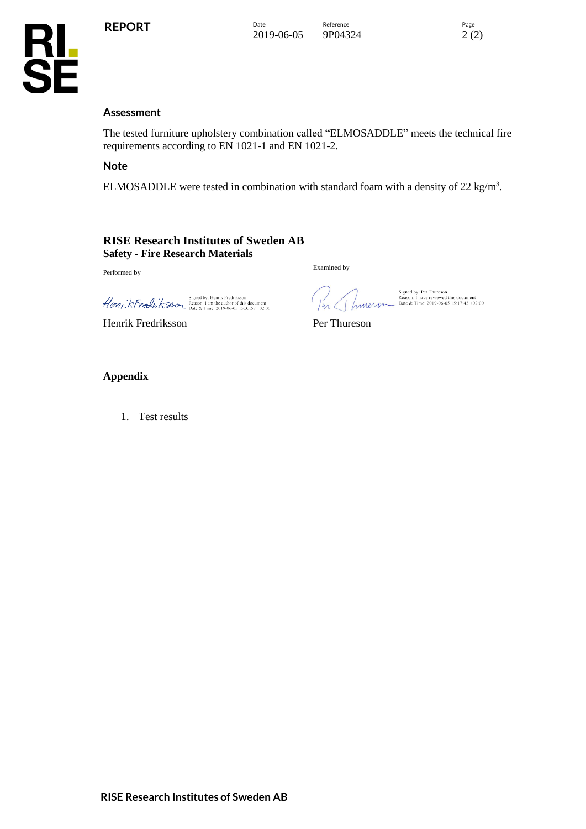

### **Assessment**

The tested furniture upholstery combination called "ELMOSADDLE" meets the technical fire requirements according to EN 1021-1 and EN 1021-2.

#### **Note**

ELMOSADDLE were tested in combination with standard foam with a density of 22 kg/m<sup>3</sup>.

#### **RISE Research Institutes of Sweden AB Safety - Fire Research Materials**

Performed by

Signed by: Henrik Fredriksson<br>
Henr, KTreel v, KSter Basson: 1 am the author of this document

\_\_Signature\_1 Henrik Fredriksson Per Thureson

Imeror

Examined by

Signed by: Per Thureson<br>Reason: I have reviewed this document<br>Date & Time: 2019-06-05 15:17:43 +02:00

### **Appendix**

1. Test results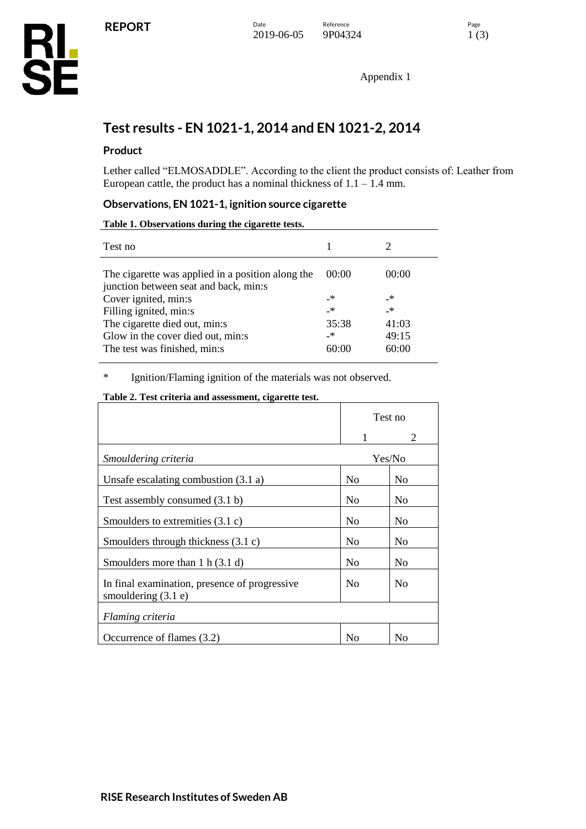Appendix 1

# **Test results - EN 1021-1, 2014 and EN 1021-2, 2014**

# **Product**

Lether called "ELMOSADDLE". According to the client the product consists of: Leather from European cattle, the product has a nominal thickness of  $1.1 - 1.4$  mm.

### **Observations, EN 1021-1, ignition source cigarette**

**Table 1. Observations during the cigarette tests.**

| Test no                                                                                    |       |       |
|--------------------------------------------------------------------------------------------|-------|-------|
| The cigarette was applied in a position along the<br>junction between seat and back, min:s | 00:00 | 00:00 |
| Cover ignited, min:s                                                                       | _*    | _*    |
| Filling ignited, min:s                                                                     | _*    | _*    |
| The cigarette died out, min:s                                                              | 35:38 | 41:03 |
| Glow in the cover died out, min:s                                                          | _*    | 49:15 |
| The test was finished, min:s                                                               | 60:00 | 60:00 |

\* Ignition/Flaming ignition of the materials was not observed.

### **Table 2. Test criteria and assessment, cigarette test.**

|                                                                        | Test no        |                       |
|------------------------------------------------------------------------|----------------|-----------------------|
|                                                                        |                | $\mathcal{D}_{\cdot}$ |
| Smouldering criteria                                                   | Yes/No         |                       |
| Unsafe escalating combustion $(3.1 a)$                                 | N <sub>0</sub> | N <sub>0</sub>        |
| Test assembly consumed (3.1 b)                                         | N <sub>0</sub> | N <sub>0</sub>        |
| Smoulders to extremities $(3.1 \text{ c})$                             | N <sub>0</sub> | N <sub>0</sub>        |
| Smoulders through thickness $(3.1 c)$                                  | No             | N <sub>0</sub>        |
| Smoulders more than $1 h (3.1 d)$                                      | No             | N <sub>0</sub>        |
| In final examination, presence of progressive<br>smouldering $(3.1 e)$ | N <sub>o</sub> | N <sub>0</sub>        |
| Flaming criteria                                                       |                |                       |
| Occurrence of flames (3.2)                                             | No             | N <sub>0</sub>        |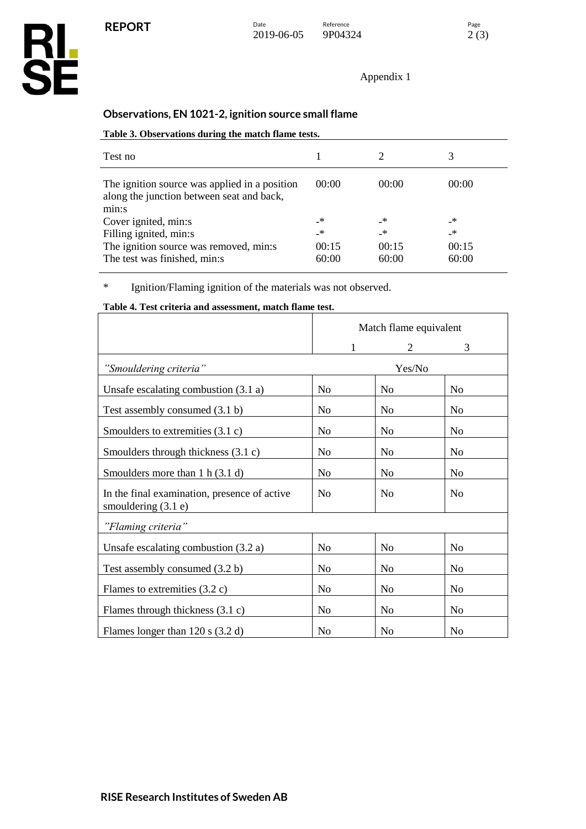**RL<br>SE** 

Appendix 1

# **Observations, EN 1021-2, ignition source small flame**

### **Table 3. Observations during the match flame tests.**

| Test no                                                                                    |       |       |       |
|--------------------------------------------------------------------------------------------|-------|-------|-------|
| The ignition source was applied in a position<br>along the junction between seat and back, | 00:00 | 00:00 | 00:00 |
| min:s                                                                                      |       |       |       |
| Cover ignited, min:s                                                                       | _*    | _*    | _*    |
| Filling ignited, min:s                                                                     | _*    | _*    | _*    |
| The ignition source was removed, min:s                                                     | 00:15 | 00:15 | 00:15 |
| The test was finished, min:s                                                               | 60:00 | 60:00 | 60:00 |

\* Ignition/Flaming ignition of the materials was not observed.

### **Table 4. Test criteria and assessment, match flame test.**

|                                                                       |                | Match flame equivalent |                |  |  |
|-----------------------------------------------------------------------|----------------|------------------------|----------------|--|--|
|                                                                       | 1              | 2                      | 3              |  |  |
| "Smouldering criteria"                                                |                | Yes/No                 |                |  |  |
| Unsafe escalating combustion $(3.1 a)$                                | N <sub>o</sub> | N <sub>o</sub>         | N <sub>o</sub> |  |  |
| Test assembly consumed (3.1 b)                                        | N <sub>0</sub> | N <sub>0</sub>         | No             |  |  |
| Smoulders to extremities $(3.1 c)$                                    | No             | N <sub>0</sub>         | N <sub>0</sub> |  |  |
| Smoulders through thickness (3.1 c)                                   | N <sub>0</sub> | N <sub>0</sub>         | N <sub>0</sub> |  |  |
| Smoulders more than $1 h (3.1 d)$                                     | N <sub>0</sub> | N <sub>0</sub>         | No             |  |  |
| In the final examination, presence of active<br>smouldering $(3.1 e)$ | N <sub>0</sub> | N <sub>0</sub>         | N <sub>o</sub> |  |  |
| "Flaming criteria"                                                    |                |                        |                |  |  |
| Unsafe escalating combustion $(3.2 a)$                                | N <sub>o</sub> | N <sub>o</sub>         | N <sub>o</sub> |  |  |
| Test assembly consumed (3.2 b)                                        | N <sub>o</sub> | No                     | No             |  |  |
| Flames to extremities $(3.2 \text{ c})$                               | No             | N <sub>o</sub>         | N <sub>o</sub> |  |  |
| Flames through thickness $(3.1 c)$                                    | No             | N <sub>0</sub>         | No             |  |  |
| Flames longer than $120$ s $(3.2 d)$                                  | N <sub>0</sub> | N <sub>0</sub>         | N <sub>0</sub> |  |  |